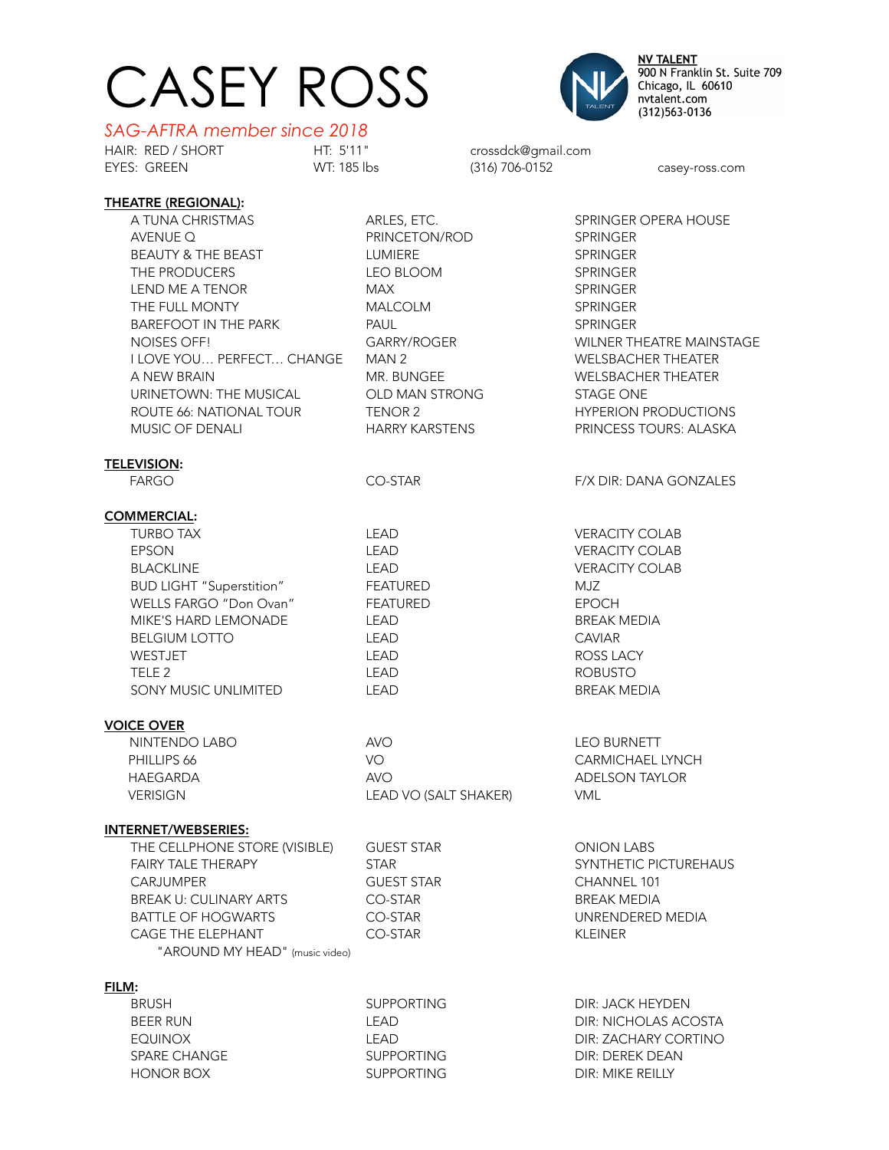## CASEY ROSS



**NV TALENT** 900 N Franklin St. Suite 709<br>Chicago, IL 60610 nvtalent.com (312) 563-0136

## *SAG-AFTRA member since 2018*

HAIR: RED / SHORT HT: 5'11" crossdck@gmail.com

casey-ross.com

| <b>THEATRE (REGIONAL):</b>      |                       |                                 |
|---------------------------------|-----------------------|---------------------------------|
| A TUNA CHRISTMAS                | ARLES, ETC.           | <b>SPRINGER OPERA HOUSE</b>     |
| AVENUE Q                        | PRINCETON/ROD         | <b>SPRINGER</b>                 |
| BEAUTY & THE BEAST              | LUMIERE               | <b>SPRINGER</b>                 |
| THE PRODUCERS                   | LEO BLOOM             | <b>SPRINGER</b>                 |
| LEND ME A TENOR                 | <b>MAX</b>            | <b>SPRINGER</b>                 |
| THE FULL MONTY                  | MALCOLM               | <b>SPRINGER</b>                 |
| <b>BAREFOOT IN THE PARK</b>     | PAUL                  | <b>SPRINGER</b>                 |
| NOISES OFF!                     | GARRY/ROGER           | <b>WILNER THEATRE MAINSTAGE</b> |
| I LOVE YOU PERFECT CHANGE       | MAN 2                 | <b>WELSBACHER THEATER</b>       |
| A NEW BRAIN                     | MR. BUNGEE            | <b>WELSBACHER THEATER</b>       |
| URINETOWN: THE MUSICAL          | OLD MAN STRONG        | <b>STAGE ONE</b>                |
| ROUTE 66: NATIONAL TOUR         | TENOR 2               | <b>HYPERION PRODUCTIONS</b>     |
| MUSIC OF DENALI                 | HARRY KARSTENS        | PRINCESS TOURS: ALASKA          |
|                                 |                       |                                 |
| <b>TELEVISION:</b>              |                       |                                 |
| <b>FARGO</b>                    | CO-STAR               | F/X DIR: DANA GONZALES          |
|                                 |                       |                                 |
| <b>COMMERCIAL:</b>              |                       |                                 |
| <b>TURBO TAX</b>                | <b>LEAD</b>           | <b>VERACITY COLAB</b>           |
| <b>EPSON</b>                    | LEAD                  | <b>VERACITY COLAB</b>           |
| <b>BLACKLINE</b>                | <b>LEAD</b>           | <b>VERACITY COLAB</b>           |
| <b>BUD LIGHT "Superstition"</b> | <b>FEATURED</b>       | MJZ                             |
| WELLS FARGO "Don Ovan"          | <b>FEATURED</b>       | <b>EPOCH</b>                    |
| MIKE'S HARD LEMONADE            | <b>LEAD</b>           | <b>BREAK MEDIA</b>              |
| <b>BELGIUM LOTTO</b>            | <b>LEAD</b>           | <b>CAVIAR</b>                   |
| WESTJET                         | <b>LEAD</b>           | ROSS LACY                       |
| TELE <sub>2</sub>               | LEAD                  | <b>ROBUSTO</b>                  |
| SONY MUSIC UNLIMITED            | <b>LEAD</b>           | <b>BREAK MEDIA</b>              |
| <b>VOICE OVER</b>               |                       |                                 |
| NINTENDO LABO                   | <b>AVO</b>            | <b>LEO BURNETT</b>              |
| PHILLIPS 66                     | VO                    | <b>CARMICHAEL LYNCH</b>         |
| HAEGARDA                        | <b>AVO</b>            | <b>ADELSON TAYLOR</b>           |
| <b>VERISIGN</b>                 | LEAD VO (SALT SHAKER) | <b>VML</b>                      |
|                                 |                       |                                 |
| <b>INTERNET/WEBSERIES:</b>      |                       |                                 |
| THE CELLPHONE STORE (VISIBLE)   | <b>GUEST STAR</b>     | <b>ONION LABS</b>               |
| <b>FAIRY TALE THERAPY</b>       | <b>STAR</b>           | SYNTHETIC PICTUREHAUS           |
| <b>CARJUMPER</b>                | <b>GUEST STAR</b>     | CHANNEL 101                     |
| <b>BREAK U: CULINARY ARTS</b>   | CO-STAR               | <b>BREAK MEDIA</b>              |
| <b>BATTLE OF HOGWARTS</b>       | CO-STAR               | UNRENDERED MEDIA                |
| <b>CAGE THE ELEPHANT</b>        | CO-STAR               | <b>KLEINER</b>                  |
| "AROUND MY HEAD" (music video)  |                       |                                 |
| FILM:                           |                       |                                 |
| <b>BRUSH</b>                    | <b>SUPPORTING</b>     | DIR: JACK HEYDEN                |
| <b>BEER RUN</b>                 | <b>LEAD</b>           | <b>DIR: NICHOLAS ACOSTA</b>     |
| <b>EQUINOX</b>                  | LEAD                  | DIR: ZACHARY CORTINO            |
| SPARE CHANGE                    | <b>SUPPORTING</b>     | <b>DIR: DEREK DEAN</b>          |

HONOR BOX **SUPPORTING** DIR: MIKE REILLY